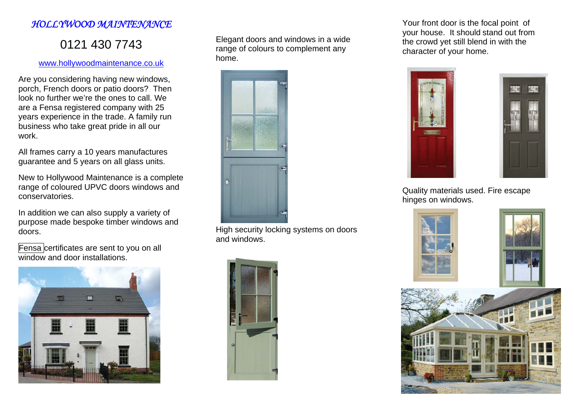## *HOLLYWOOD MAINTENANCE*

## 0121 430 7743

## www.hollywoodmaintenance.co.uk

Are you considering having new windows, porch, French doors or patio doors? Then look no further we're the ones to call. We are a Fensa registered company with 25 years experience in the trade. A family run business who take great pride in all our work.

All frames carry a 10 years manufactures guarantee and 5 years on all glass units.

New to Hollywood Maintenance is a complete range of coloured UPVC doors windows and conservatories.

In addition we can also supply a variety of purpose made bespoke timber windows and doors.

Fensa certificates are sent to you on all window and door installations.



Elegant doors and windows in a wide range of colours to complement any home.



High security locking systems on doors and windows.



Your front door is the focal point of your house. It should stand out from the crowd yet still blend in with the character of your home.





Quality materials used. Fire escape hinges on windows.